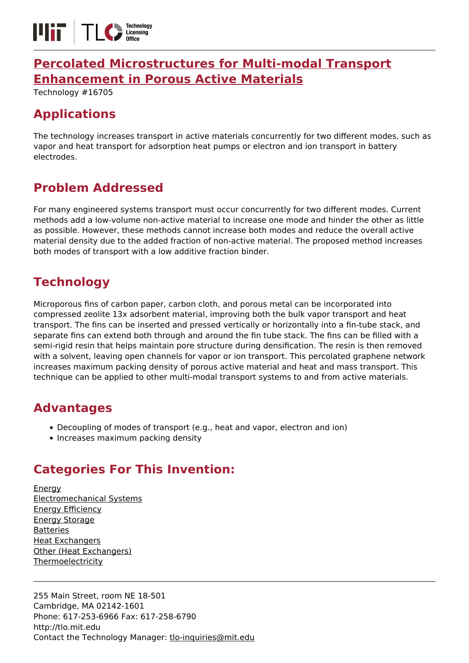

### **[Percolated Microstructures for Multi-modal Transport](https://tlo.mit.edu/technologies/percolated-microstructures-multi-modal-transport-enhancement-porous-active-materials) [Enhancement in Porous Active Materials](https://tlo.mit.edu/technologies/percolated-microstructures-multi-modal-transport-enhancement-porous-active-materials)**

Technology #16705

# **Applications**

The technology increases transport in active materials concurrently for two different modes, such as vapor and heat transport for adsorption heat pumps or electron and ion transport in battery electrodes.

## **Problem Addressed**

For many engineered systems transport must occur concurrently for two different modes. Current methods add a low-volume non-active material to increase one mode and hinder the other as little as possible. However, these methods cannot increase both modes and reduce the overall active material density due to the added fraction of non-active material. The proposed method increases both modes of transport with a low additive fraction binder.

## **Technology**

Microporous fins of carbon paper, carbon cloth, and porous metal can be incorporated into compressed zeolite 13x adsorbent material, improving both the bulk vapor transport and heat transport. The fins can be inserted and pressed vertically or horizontally into a fin-tube stack, and separate fins can extend both through and around the fin tube stack. The fins can be filled with a semi-rigid resin that helps maintain pore structure during densification. The resin is then removed with a solvent, leaving open channels for vapor or ion transport. This percolated graphene network increases maximum packing density of porous active material and heat and mass transport. This technique can be applied to other multi-modal transport systems to and from active materials.

#### **Advantages**

- Decoupling of modes of transport (e.g., heat and vapor, electron and ion)
- Increases maximum packing density

# **Categories For This Invention:**

[Energy](https://tlo.mit.edu/energy) [Electromechanical Systems](https://tlo.mit.edu/electromechanical-systems) [Energy Efficiency](https://tlo.mit.edu/energy-efficiency) [Energy Storage](https://tlo.mit.edu/energy-storage) [Batteries](https://tlo.mit.edu/batteries) [Heat Exchangers](https://tlo.mit.edu/heat-exchangers) [Other \(Heat Exchangers\)](https://tlo.mit.edu/other-heat-exchangers) **[Thermoelectricity](https://tlo.mit.edu/thermoelectricity)** 

255 Main Street, room NE 18-501 Cambridge, MA 02142-1601 Phone: 617-253-6966 Fax: 617-258-6790 http://tlo.mit.edu Contact the Technology Manager: [tlo-inquiries@mit.edu](mailto:tlo-inquiries@mit.edu)